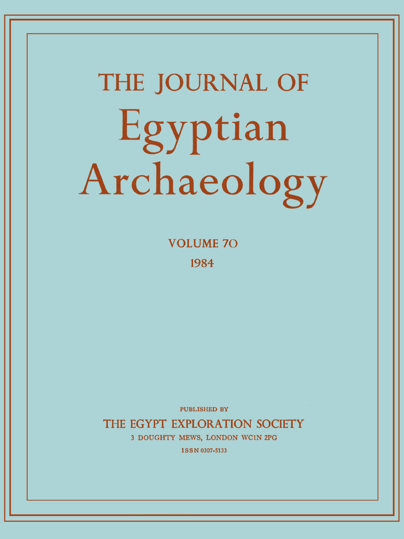# **THE JOURNAL OF**  Egyptian Archaeology

**VOLUME 7 0 1984** 

PUBLISHED BY

THE EGYPT EXPLORATION SOCIETY 3 DOUGHTY MEWS, LONDON WC1N 2PG

**ISSN 0307-5133**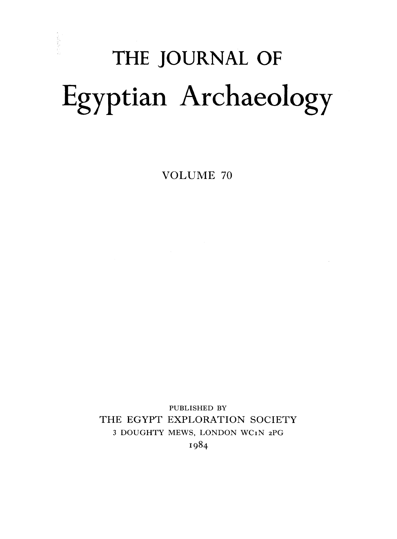# $\frac{1}{2} \left( \frac{1}{2} \frac{\partial^2}{\partial x^2} \right) \frac{1}{2} \left( \frac{\partial^2}{\partial x^2} \right) \frac{1}{2} \left( \frac{\partial^2}{\partial x^2} \right) \frac{1}{2} \left( \frac{\partial^2}{\partial x^2} \right) \frac{1}{2} \left( \frac{\partial^2}{\partial x^2} \right) \frac{1}{2} \left( \frac{\partial^2}{\partial x^2} \right) \frac{1}{2} \left( \frac{\partial^2}{\partial x^2} \right) \frac{1}{2} \left( \frac{\partial^2}{\partial x^2} \right) \frac{1}{$ THE JOURNAL OF Egyptian Archaeology

VOLUME 70

PUBLISHED BY THE EGYPT EXPLORATION SOCIETY 3 **DOUGHT Y MEWS , LONDO N WCi N** 2P G 1984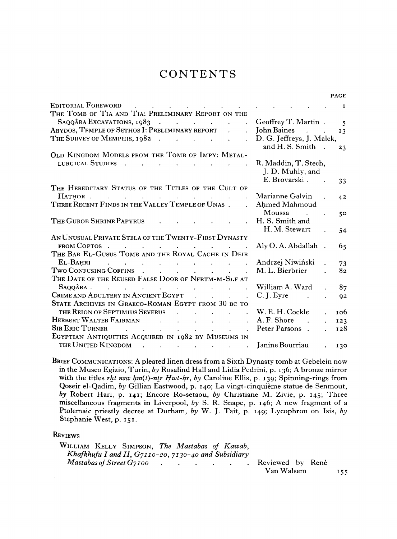# **CONTENTS**

|                                                                                                                                                                                                       | <b>PAGE</b>                           |
|-------------------------------------------------------------------------------------------------------------------------------------------------------------------------------------------------------|---------------------------------------|
| Editorial Foreword<br>the contract of the contract of the                                                                                                                                             | 1                                     |
| THE TOMB OF TIA AND TIA: PRELIMINARY REPORT ON THE                                                                                                                                                    |                                       |
| $S_A$ <sub>Q</sub> QÂRA Excavations, 1983.                                                                                                                                                            | Geoffrey T. Martin.<br>5 <sup>1</sup> |
| Abydos, Temple of Sethos I: Preliminary report .                                                                                                                                                      | John Baines<br>13                     |
| The Survey of Memphis, $1982$ .<br>$\mathbf{r} = \mathbf{r} \cdot \mathbf{r}$ , where $\mathbf{r} = \mathbf{r} \cdot \mathbf{r}$                                                                      | D. G. Jeffreys, J. Malek,             |
|                                                                                                                                                                                                       | and $H.S.$ Smith $\Box$<br>23         |
| OLD KINGDOM MODELS FROM THE TOMB OF IMPY: METAL-                                                                                                                                                      |                                       |
| LURGICAL STUDIES                                                                                                                                                                                      | R. Maddin, T. Stech,                  |
|                                                                                                                                                                                                       | J. D. Muhly, and                      |
|                                                                                                                                                                                                       | E. Brovarski.<br>33                   |
| THE HEREDITARY STATUS OF THE TITLES OF THE CULT OF                                                                                                                                                    |                                       |
| HATHOR.<br>the contract of the contract of the contract of                                                                                                                                            | Marianne Galvin<br>42                 |
| THREE RECENT FINDS IN THE VALLEY TEMPLE OF UNAS.                                                                                                                                                      | Ahmed Mahmoud                         |
|                                                                                                                                                                                                       | Moussa<br>$50^{\circ}$                |
| THE GUROB SHRINE PAPYRUS                                                                                                                                                                              | H. S. Smith and                       |
|                                                                                                                                                                                                       | H. M. Stewart<br>54                   |
| AN UNUSUAL PRIVATE STELA OF THE TWENTY-FIRST DYNASTY                                                                                                                                                  |                                       |
| FROM COPTOS.<br>$\mathbf{r}$ , and $\mathbf{r}$ , and $\mathbf{r}$ , and $\mathbf{r}$ , and $\mathbf{r}$ , and $\mathbf{r}$                                                                           | Aly O. A. Abdallah.<br>65             |
| THE BAB EL-GUSUS TOMB AND THE ROYAL CACHE IN DEIR                                                                                                                                                     |                                       |
| EL-BAHRI<br>$\mathcal{L}(\mathbf{A})$ and $\mathcal{L}(\mathbf{A})$ are also the contribution of the contribution of $\mathcal{L}(\mathbf{A})$                                                        | Andrzej Niwiński<br>73                |
| Two Confusing Coffins .<br>and the contract of the contract of the contract of the contract of the contract of the contract of the contract of                                                        | M. L. Bierbrier<br>82                 |
| THE DATE OF THE REUSED FALSE DOOR OF NFRTM-M-S3.F AT                                                                                                                                                  |                                       |
| SAQQÂRA.<br>the contract of the contract of the contract of the contract of the contract of the contract of the contract of                                                                           | William A. Ward<br>87                 |
| CRIME AND ADULTERY IN ANCIENT EGYPT                                                                                                                                                                   | C. J. Eyre<br>92                      |
| STATE ARCHIVES IN GRAECO-ROMAN EGYPT FROM 30 BC TO                                                                                                                                                    |                                       |
| THE REIGN OF SEPTIMIUS SEVERUS<br>and the company of the company                                                                                                                                      | W. E. H. Cockle<br>106                |
| HERBERT WALTER FAIRMAN                                                                                                                                                                                | A. F. Shore .<br>123                  |
| <b>SIR ERIC TURNER</b><br>$\mathbf{a}^{\prime}$ , and $\mathbf{a}^{\prime}$ , and $\mathbf{a}^{\prime}$ , and $\mathbf{a}^{\prime}$ , and $\mathbf{a}^{\prime}$ , and $\mathbf{a}^{\prime}$<br>$\sim$ | Peter Parsons.<br>128                 |
| EGYPTIAN ANTIQUITIES ACQUIRED IN 1982 BY MUSEUMS IN                                                                                                                                                   |                                       |
| THE UNITED KINGDOM<br><b>Contract State</b>                                                                                                                                                           | Janine Bourriau<br>130                |

**B**RIEF **C**OMMUNICATIONS**: A pleated linen dress from a Sixth Dynast y tomb at Gebelein now in the Muse o Egizio, Turin,** *by* **Rosalind Hall and Lidia Pedrini, p.** 136; **A bronze mirror**  with the titles rht nsw hm(t)-ntr Hwt-hr, by Caroline Ellis, p. 139; Spinning-rings from **Qoseir el-Qadim,** *by* **Gillian Eastwood, p.** 140; **La vingt-cinquieme statue de Senmout,**  *by* Robert Hari, p. 141; Encore Ro-setaou, by Christiane M. Zivie, p. 145; Three **miscellaneous fragments in Liverpool,** *by* **S. R. Snape, p.** 146 ; **A new fragment of a**  Ptolemaic priestly decree at Durham, *by* W. J. Tait, p. 149; Lycophron on Isis, *by* **Stephanie West, p.** 151 .

#### **R**EVIEWS

|  | WILLIAM KELLY SIMPSON, The Mastabas of Kawab,           |  |  |  |                                           |  |     |
|--|---------------------------------------------------------|--|--|--|-------------------------------------------|--|-----|
|  | Khafkhufu I and II, $G$ 7110-20, 7130-40 and Subsidiary |  |  |  |                                           |  |     |
|  |                                                         |  |  |  | Mastabas of Street G7100 Reviewed by René |  |     |
|  |                                                         |  |  |  | Van Walsem                                |  | 155 |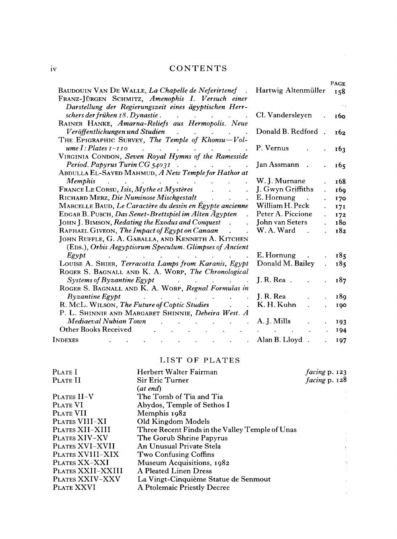## IV CONTENTS

 $\sim 10$ 

| BAUDOUIN VAN DE WALLE, La Chapelle de Neferirtenef.                                                                                                                    | Hartwig Altenmüller             | PAGE<br>158     |
|------------------------------------------------------------------------------------------------------------------------------------------------------------------------|---------------------------------|-----------------|
| FRANZ-JÜRGEN SCHMITZ, Amenophis I. Versuch einer                                                                                                                       |                                 |                 |
| Darstellung der Regierungszeit eines ägyptischen Herr-                                                                                                                 |                                 |                 |
| schers der frühen 18. Dynastie.<br>the contract of the contract of                                                                                                     | Cl. Vandersleyen                | 160             |
| RAINER HANKE, Amarna-Reliefs aus Hermopolis. Neue                                                                                                                      |                                 |                 |
| Veröffentlichungen und Studien<br>$\mathcal{L}^{\mathcal{A}}$ , and $\mathcal{L}^{\mathcal{A}}$ , and $\mathcal{L}^{\mathcal{A}}$ , and $\mathcal{L}^{\mathcal{A}}$    | Donald B. Redford<br>$\sim$     | 162             |
| THE EPIGRAPHIC SURVEY, The Temple of Khonsu-Vol-                                                                                                                       |                                 |                 |
| $ume I: Plates I-IIO$<br>$\mathbf{r}^{\prime}$ , and $\mathbf{r}^{\prime}$ , and $\mathbf{r}^{\prime}$ , and $\mathbf{r}^{\prime}$ , and $\mathbf{r}^{\prime}$         | P. Vernus                       | 163             |
| VIRGINIA CONDON, Seven Royal Hymns of the Ramesside                                                                                                                    |                                 |                 |
| Period. Papyrus Turin $CG_{54031}$ .                                                                                                                                   | Jan Assmann                     | 165             |
| ABDULLA EL-SAYED MAHMUD, A New Temple for Hathor at<br>Memphis                                                                                                         | W. J. Murnane                   |                 |
| $\mathbf{r} = \mathbf{r} \cdot \mathbf{r}$ , where $\mathbf{r} = \mathbf{r} \cdot \mathbf{r}$<br>$\mathbf{r}$ .<br>FRANCE LE CORSU, Isis, Mythe et Mystères            |                                 | <b>168</b>      |
| RICHARD MERZ, Die Numinose Mischgestalt                                                                                                                                | J. Gwyn Griffiths<br>E. Hornung | 16 <sub>9</sub> |
| MARCELLE BAUD, Le Caractère du dessin en Égypte ancienne                                                                                                               | William H. Peck                 | 170             |
| EDGAR B. PUSCH, Das Senet-Brettspiel im Alten Agypten                                                                                                                  | Peter A. Piccione               | 171             |
| JOHN J. BIMSON, Redating the Exodus and Conquest                                                                                                                       | John van Seters                 | I72<br>180      |
| RAPHAEL GIVEON, The Impact of Egypt on Canaan                                                                                                                          | W. A. Ward<br>$\mathbf{r}$      | 182             |
| JOHN RUFFLE, G. A. GABALLA, AND KENNETH A. KITCHEN                                                                                                                     |                                 |                 |
| (EDS.), Orbis Aegyptiorum Speculum. Glimpses of Ancient                                                                                                                |                                 |                 |
| $E$ gypt<br>the contract of the contract of the contract of the contract of                                                                                            | E. Hornung                      | 185             |
| LOUISE A. SHIER, Terracotta Lamps from Karanis, Egypt                                                                                                                  | Donald M. Bailey                | 185             |
| ROGER S. BAGNALL AND K. A. WORP, The Chronological                                                                                                                     |                                 |                 |
| Systems of Byzantine Egypt                                                                                                                                             | $J. R. Rea$ .                   | 187             |
| ROGER S. BAGNALL AND K. A. WORP, Regnal Formulas in                                                                                                                    |                                 |                 |
| <b>Byzantine Egypt</b><br>$\mathbf{r} = \mathbf{r} \cdot \mathbf{r}$ , and $\mathbf{r} = \mathbf{r} \cdot \mathbf{r}$ , and $\mathbf{r} = \mathbf{r} \cdot \mathbf{r}$ | J. R. Rea                       | 189             |
| R. McL. WILSON, The Future of Coptic Studies                                                                                                                           | K. H. Kuhn                      | 190             |
| P. L. SHINNIE AND MARGARET SHINNIE, Debeira West. A                                                                                                                    |                                 |                 |
| Mediaeval Nubian Town                                                                                                                                                  | A. J. Mills<br>$\sim 100$       | 193             |
| <b>Other Books Received</b>                                                                                                                                            |                                 | 194             |
| <b>INDEXES</b>                                                                                                                                                         | Alan B. Lloyd                   | 197             |
| $\bullet$<br>$\bullet$<br>$\bullet$                                                                                                                                    |                                 |                 |

### LIST OF PLATES

| PLATE I              | Herbert Walter Fairman                          | $facing$ p. 123 |
|----------------------|-------------------------------------------------|-----------------|
| PLATE II             | Sir Eric Turner                                 | $facing$ p. 128 |
|                      | (at end)                                        |                 |
| PLATES II-V          | The Tomb of Tia and Tia                         |                 |
| PLATE VI             | Abydos, Temple of Sethos I                      |                 |
| PLATE VII            | Memphis 1982                                    |                 |
| PLATES VIII-XI       | Old Kingdom Models                              |                 |
| PLATES XII-XIII      | Three Recent Finds in the Valley Temple of Unas |                 |
| <b>PLATES XIV-XV</b> | The Gorub Shrine Papyrus                        |                 |
| PLATES XVI-XVII      | An Unusual Private Stela                        | ÷               |
| PLATES XVIII-XIX     | Two Confusing Coffins                           |                 |
| PLATES XX-XXI        | Museum Acquisitions, 1982                       |                 |
| PLATES XXII-XXIII    | A Pleated Linen Dress                           |                 |
| PLATES XXIV-XXV      | La Vingt-Cinquième Statue de Senmout            |                 |
| PLATE XXVI           | A Ptolemaic Priestly Decree                     |                 |
|                      |                                                 |                 |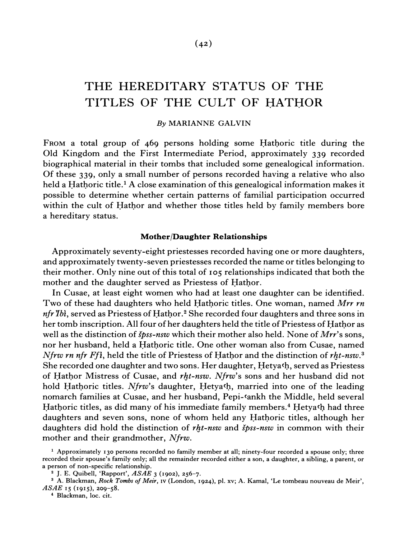# THE HEREDITARY STATUS OF THE TITLES OF THE CULT OF HATHOR

#### *By* **MARIANNE** GALVIN

FROM a total group of 469 persons holding some Hathoric title during the Old Kingdom and the First Intermediate Period, approximately 339 recorded biographical material in their tombs that included some genealogical information. Of these 339, only a small number of persons recorded having a relative who also held a Hathoric title.<sup>1</sup> A close examination of this genealogical information makes it possible to determine whether certain patterns of familial participation occurred within the cult of Hathor and whether those titles held by family members bore a hereditary status.

#### **Mother/Daughter Relationships**

Approximately seventy-eight priestesses recorded having one or more daughters, and approximately twenty-seven priestesses recorded the name or titles belonging to their mother. Only nine out of this total of **105** relationships indicated that both the mother and the daughter served as Priestess of Hathor.

In Cusae, at least eight women who had at least one daughter can be identified. Two of these had daughters who held Hathoric titles. One woman, named Mrr **m**  nfr *Tbl,* served as Priestess of Hathor.\* She recorded four daughters and three sons in her tomb inscription. All four of her daughters held the title of Priestess of Hathor as well as the distinction of  $\delta pss-nsw$  which their mother also held. None of  $Mrr$ 's sons, nor her husband, held a Hathoric title. One other woman also from Cusae, named Nfrw rn nfr Ffi, held the title of Priestess of Hathor and the distinction of rht-nsw.<sup>3</sup> She recorded one daughter and two sons. Her daughter, Hetya<sup>th</sup>, served as Priestess of Hathor Mistress of Cusae, and rht-nsw. Nfrw's sons and her husband did not hold Hathoric titles. Nfrw's daughter, Hetyash, married into one of the leading nomarch families at Cusae, and her husband, Pepi-<ankh the Middle, held several Hathoric titles, as did many of his immediate family members.<sup>4</sup> Hetya<sup>ch</sup> had three daughters and seven sons, none of whom held any Hathoric titles, although her daughters did hold the distinction of  $rht$ -nsw and  $\zeta pss$ -nsw in common with their mother and their grandmother, Nfrw.

 $<sup>1</sup>$  Approximately 130 persons recorded no family member at all; ninety-four recorded a spouse only; three</sup> recorded their spouse's family only; all the remainder recorded either a son, a daughter, a sibling, a parent, or a person of non-specific relationship.

<sup>&</sup>lt;sup>2</sup> J. E. Quibell, 'Rapport',  $ASAE$  3 (1902), 256-7.

<sup>&</sup>lt;sup>3</sup> A. Blackman, Rock Tombs of Meir, **IV** (London, 1924), pl. xv; A. Kamal, 'Le tombeau nouveau de Meir',  $ASAE$  15 (1915), 209-58.

<sup>&</sup>lt;sup>4</sup> Blackman, loc. cit.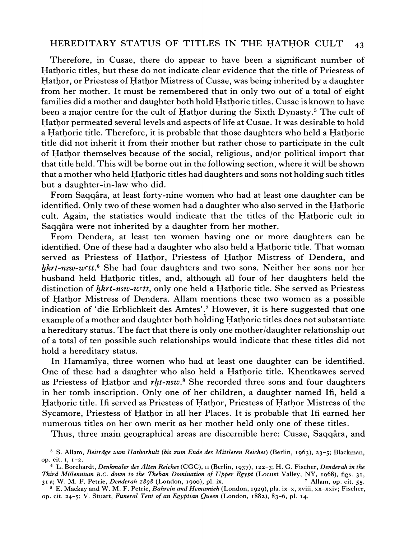#### HEREDITARY STATUS OF TITLES IN THE HATHOR CULT  $_{43}$

Therefore, in Cusae, there do appear to have been a significant number of Hathoric titles, but these do not indicate clear evidence that the title of Priestess of Hathor, or Priestess of Hathor Mistress of Cusae, was being inherited by a daughter from her mother. It must be remembered that in only two out of a total of eight families did a mother and daughter both hold Hathoric titles. Cusae is known to have been a major centre for the cult of Hathor during the Sixth Dynasty.<sup>5</sup> The cult of Hathor permeated several levels and aspects of life at Cusae. It was desirable to hold a Hathoric title. Therefore, it is probable that those daughters who held a Hathoric title did not inherit it from their mother but rather chose to participate in the cult of Hathor themselves because of the social, religious, and/or political import that that title held. This will be borne out in the following section, where it will be shown that a mother who held Hathoric titles had daughters and sons not holding such titles but a daughter-in-law who did.

From Saqqira, at least forty-nine women who had at least one daughter can be identified. Only two of these women had a daughter who also served in the Hathoric cult. Again, the statistics would indicate that the titles of the Hathoric cult in Saqqâra were not inherited by a daughter from her mother.

From Dendera, at least ten women having one or more daughters can be identified. One of these had a daughter who also held a Hathoric title. That woman served as Priestess of Hathor, Priestess of Hathor Mistress of Dendera, and hkrt-nsw-w<sup>-rtt</sub>.<sup>6</sup> She had four daughters and two sons. Neither her sons nor her</sup> husband held Hathoric titles, and, although all four of her daughters held the distinction of hkrt-nsw-w<sup>rtt</sup>, only one held a Hathoric title. She served as Priestess of Hathor Mistress of Dendera. Allam mentions these two women as a possible indication of 'die Erblichkeit des Amtes'.' However, it is here suggested that one example of a mother and daughter both hoiding Hathoric titles does not substantiate a hereditary status. The fact that there is only one mother/daughter relationship out of a total of ten possible such relationships would indicate that these titles did not hold a hereditary status.

In Hamamiya, three women who had at least one daughter can be identified. One of these had a daughter who also held a Hathoric title. Khentkawes served as Priestess of Hathor and  $rht-nsw.^8$  She recorded three sons and four daughters in her tomb inscription. Only one of her children, a daughter named Ifi, held a Hathoric title. Ifi served as Priestess of Hathor, Priestess of Hathor Mistress of the Sycamore, Priestess of Hathor in all her Places. It is probable that Ifi earned her numerous titles on her own merit as her mother held only one of these titles.

Thus, three main geographical areas are discernible here: Cusae, Saqqira, and

S. Allam, *Beitrage zum Hathorkult (bis zum Ende des Mittleren Reiches)* (Berlin, *1963), 23-5;* Blackman, op. cit. I, *1-2.* 

L. Borchardt, *Denkmaler des Alten Reiches (CGC),*11 (Berlin, *1937)~122-3;*H. G. Fischer, *Denderah in the Third Millennium B.C. down to the Theban Domination of Upper Egypt (Locust Valley, NY, 1968), figs. 31, 31, 31, 31, 31, 31, 31, 31, 31, 31, 31, 31, 31, 31, 31, 31, 31, 31 31* a; *W. M.* F. Petrie, *Denderah 1898* (London, *goo),* pl. ix. Allam, op. cit. *55.* 

<sup>&</sup>quot;. Mackay and W. M. F. Petrie, *Bahrein and Hemamieh* (London, *1929),*pls. ix-X, xviii, XX-xxiv; Fischer, op. cit. *24-5;* **V.** Stuart, *Funeral Tent of an Egyptian Queen* (London, *1882), 83-6,* pl. *14.*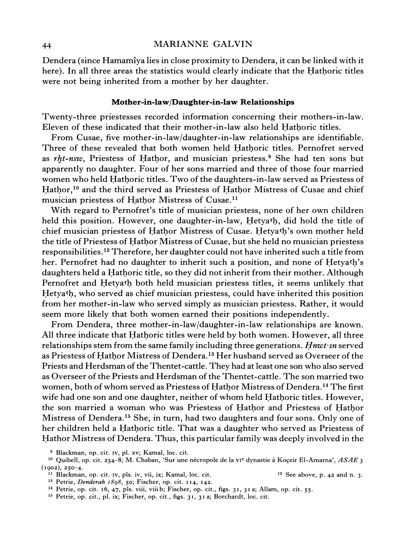#### 44 MARIANNE GALVIN

Dendera (since Hamamiya lies in close proximity to Dendera, it can be linked with it here). In all three areas the statistics would clearly indicate that the Hathoric titles were not being inherited from a mother by her daughter.

#### **Mother-in-law/Daughter-in-law Relationships**

Twenty-three priestesses recorded information concerning their mothers-in-law. Eleven of these indicated that their mother-in-law also held Hathoric titles.

From Cusae, five mother-in-law/daughter-in-law relationships are identifiable. Three of these revealed that both women held Hathoric titles. Pernofret served as  $rht-nsw$ , Priestess of Hathor, and musician priestess.<sup>9</sup> She had ten sons but apparently no daughter. Four of her sons married and three of those four married women who held Hathoric titles. Two of the daughters-in-law served as Priestess of Hathor,<sup>10</sup> and the third served as Priestess of Hathor Mistress of Cusae and chief musician priestess of Hathor Mistress of Cusae.<sup>11</sup>

With regard to Pernofret's title of musician priestess, none of her own children held this position. However, one daughter-in-law, Hetyash, did hold the title of chief musician priestess of Hathor Mistress of Cusae. Hetyach's own mother held the title of Priestess of Hathor Mistress of Cusae, but she held no musician priestess responsibilities.12 Therefore, her daughter could not have inherited such a title from her. Pernofret had no daughter to inherit such a position, and none of Hetya'h's daughters held a Hathoric title, so they did not inherit from their mother. Although Pernofret and Hetyash both held musician priestess titles, it seems unlikely that Hetyach, who served as chief musician priestess, could have inherited this position from her mother-in-law who served simply as musician priestess. Rather, it would seem more likely that both women earned their positions independently.

From Dendera, three mother-in-law/daughter-in-law relationships are known. All three indicate that Hathoric titles were held by both women. However, all three relationships stem from the same family including three generations. Hnwt:  $sn$  served as Priestess of Hathor Mistress of Dendera.13 Her husband served as Overseer of the Priests and Herdsman of the Thentet-cattle. They had at least one son who also served as Overseer of the Priests and Herdsman of the Thentet-cattle. The son married two women, both of whom served as Priestess of Hathor Mistress of Dendera.14 The first wife had one son and one daughter, neither of whom held Hathoric titles. However, the son married a woman who was Priestess of Hathor and Priestess of Hathor Mistress of Dendera.15 She, in turn, had two daughters and four sons. Only one of her children held a Hathoric title. That was a daughter who served as Priestess of Hathor Mistress of Dendera. Thus, this particular family was deeply involved in the

<sup>9</sup> Blackman, op. cit. Iv, pl. xv; Kamal, loc. cit.

<sup>&</sup>lt;sup>10</sup> Quibell, op. cit. 254-8; M. Chaban, 'Sur une nécropole de la vi<sup>e</sup> dynastie à Koçeir El-Amarna', ASAE 3 (1902), 250-4.

**l1** Blackman, op. cit. rv, pls. iv, vii, ix; Kamal, loc. cit. **l2** See above, p. 42 and n. 3.

**l3** Petrie, *Denderah 1898,* 50; Fischer, op. cit. 114, 142.

**l4** Petrie, op. cit. 16, 47, pls. viii, viii b; Fischer, op. cit., figs. 31, 31 a; Allam, op. cit. 55.

**l5** Petrie, op. cit., pl. ix; Fischer, op. cit., figs. 31, 31 a; Borchardt, loc. cit.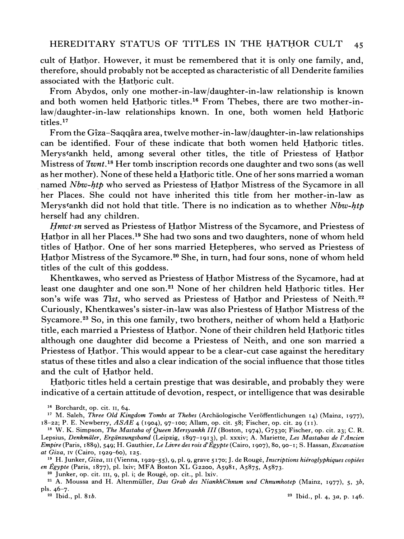#### HEREDITARY STATUS OF TITLES IN THE HATHOR CULT 45

cult of Hathor. However, it must be remembered that it is only one family, and, therefore, should probably not be accepted as characteristic of all Denderite families associated with the Hathoric cult.

From Abydos, only one mother-in-lawldaughter-in-law relationship is known and both women held Hathoric titles.16 From Thebes, there are two mother-inlawldaughter-in-law relationships known. In one, both women held Hathoric titles.17

From the Gîza-Saqqâra area, twelve mother-in-law/daughter-in-law relationships can be identified. Four of these indicate that both women held Hathoric titles. Meryscankh held, among several other titles, the title of Priestess of Hathor Mistress of *'lwnt*.<sup>18</sup> Her tomb inscription records one daughter and two sons (as well as her mother). None of these held a Hathoric title. One of her sons married a woman named Nbw-htp who served as Priestess of Hathor Mistress of the Sycamore in all her Places. She could not have inherited this title from her mother-in-law as Merys<sup>c</sup>ankh did not hold that title. There is no indication as to whether *Nbw-htp* herself had any children.

Hnwt-sn served as Priestess of Hathor Mistress of the Sycamore, and Priestess of Hathor in all her Places.<sup>19</sup> She had two sons and two daughters, none of whom held titles of Hathor. One of her sons married Hetepheres, who served as Priestess of Hathor Mistress of the Sycamore.<sup>20</sup> She, in turn, had four sons, none of whom held titles of the cult of this goddess.

Khentkawes, who served as Priestess of Hathor Mistress of the Sycamore, had at least one daughter and one son.<sup>21</sup> None of her children held Hathoric titles. Her son's wife was Tist, who served as Priestess of Hathor and Priestess of Neith.<sup>22</sup> Curiously, Khentkawes's sister-in-law was also Priestess of Hathor Mistress of the Sycamore.<sup>23</sup> So, in this one family, two brothers, neither of whom held a Hathoric title, each married a Priestess of Hathor. None of their children held Hathoric titles although one daughter did become a Priestess of Neith, and one son married a Priestess of Hathor. This would appear to be a clear-cut case against the hereditary status of these titles and also a clear indication of the social influence that those titles and the cult of Hathor held.

Hathoric titles held a certain prestige that was desirable, and probably they were indicative of a certain attitude of devotion, respect, or intelligence that was desirable

**lQT** H. Junker, *Giza,* **111** (Vienna, 1929-55), 9, pl. 9, grave 5 170; J. de Rouge, *Inscriptions hie'roglyphiques copie'es en Egypte* (Paris, 1877), pl. lxiv; MFA Boston XL Gzzoo, A5981, A5875, A5873.

<sup>20</sup> Junker, op. cit. **III, 9, pl. i**; de Rougé, op. cit., pl. lxiv.

**22** Ibid., pl. *81b.* **23** Ibid., pl. 4, *3a,* p. 146.

**l6** Borchardt, op. cit. 11, 64.

<sup>&</sup>lt;sup>17</sup> M. Saleh, *Three Old Kingdom Tombs at Thebes* (Archäologische Veröffentlichungen 14) (Mainz, 1977). 18-22; P. E. Newberry,  $ASAE$  4 (1904), 97-100; Allam, op. cit. 58; Fischer, op. cit. 29 (11).

**l8** W. K. Sirnpson, *The Mastaba of Queen Mersyankh III* (Boston, 1974)) G7530; Fischer, op. cit. *23;* C. R. Lepsius, *Denkmäler, Ergänzungsband* (Leipzig, 1897-1913), pl. xxxiv; A. Mariette, *Les Mastabas de l'Ancien Empire* (Paris, 1889), 549; H. Gauthier, *Le Livre des rois d'Egypte* (Cairo, 1go7), 80, 90-1; S. Hassan, *Excavation at Giza,* **IV** (Cairo, 1929-60), 125.

A. Moussa and H. Altenrniiller, *Das Grab des NiankhChnum und Chnumhotep* (Mainz, 1977)) 5, *3b,*  pls.  $46-7$ .<br><sup>22</sup> Ibid., pl. 8*1b*.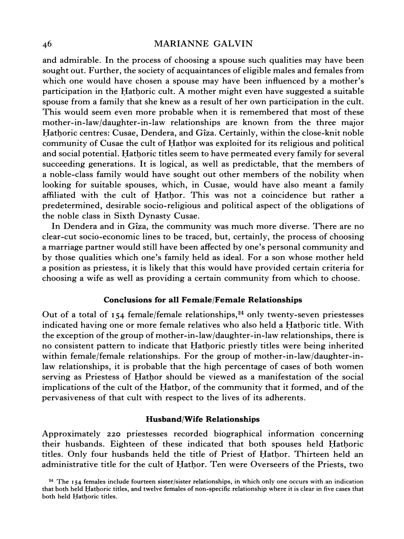#### 46 MARIANNE GALVIN

and admirable. In the process of choosing a spouse such qualities may have been sought out. Further, the society of acquaintances of eligible males and females from which one would have chosen a spouse may have been influenced by a mother's participation in the Hathoric cult. A mother might even have suggested a suitable spouse from a family that she knew as a result of her own participation in the cult. This would seem even more probable when it is remembered that most of these mother-in-lawldaughter-in-law relationships are known from the three major Hathoric centres: Cusae, Dendera, and Giza. Certainly, within the close-knit noble community of Cusae the cult of Hathor was exploited for its religious and political and social potential. Hathoric titles seem to have permeated every family for several succeeding generations. It is logical, as well as predictable, that the members of a noble-class family would have sought out other members of the nobility when looking for suitable spouses, which, in Cusae, would have also meant a family affiliated with the cult of Hathor. This was not a coincidence but rather a predetermined, desirable socio-religious and political aspect of the obligations of the noble class in Sixth Dynasty Cusae.

In Dendera and in Giza, the community was much more diverse. There are no clear-cut socio-economic lines to be traced, but, certainly, the process of choosing a marriage partner would still have been affected by one's personal community and by those qualities which one's family held as ideal. For a son whose mother held a position as priestess, it is likely that this would have provided certain criteria for choosing a wife as well as providing a certain community from which to choose.

#### **Conclusions for all Female/Female Relationships**

Out of a total of 154 female/female relationships,<sup>24</sup> only twenty-seven priestesses indicated having one or more female relatives who also held a Hathoric title. With the exception of the group of mother-in-lawldaughter-in-law relationships, there is no consistent pattern to indicate that Hathoric priestly titles were being inherited within female/female relationships. For the group of mother-in-law/daughter-inlaw relationships, it is probable that the high percentage of cases of both women serving as Priestess of Hathor should be viewed as a manifestation of the social implications of the cult of the Hathor, of the community that it formed, and of the pervasiveness of that cult with respect to the lives of its adherents.

#### **Husband/Wife Relationships**

Approximately **220** priestesses recorded biographical information concerning their husbands. Eighteen of these indicated that both spouses held Hathoric titles. Only four husbands held the title of Priest of Hathor. Thirteen held an administrative title for the cult of Hathor. Ten were Overseers of the Priests, two

**<sup>24</sup>**The **154** females include fourteen sister/sister relationships, in which only one occurs with an indication that both held Hathoric titles, and twelve females of non-specific relationship where it is clear in five cases that both held Hathoric titles.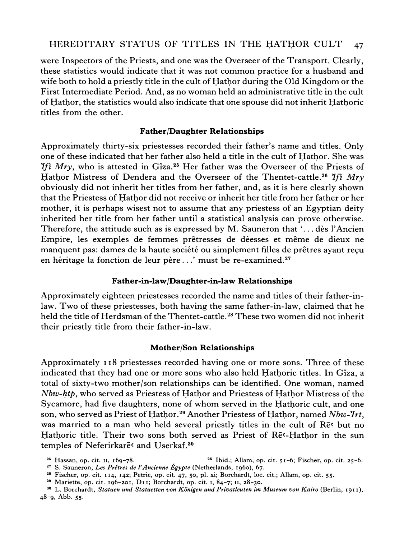#### HEREDITARY STATUS OF TITLES IN THE HATHOR CULT **47**

were Inspectors of the Priests, and one was the Overseer of the Transport. Clearly, these statistics would indicate that it was not common practice for a husband and wife both to hold a priestly title in the cult of Hathor during the Old Kingdom or the First Intermediate Period. And, as no woman held an administrative title in the cult of Hathor, the statistics would also indicate that one spouse did not inherit Hathoric titles from the other.

#### **Father/Daughter Relationships**

Approximately thirty-six priestesses recorded their father's name and titles. Only one of these indicated that her father also held a title in the cult of Hathor. She was Ifi Mry, who is attested in Gîza.<sup>25</sup> Her father was the Overseer of the Priests of Hathor Mistress of Dendera and the Overseer of the Thentet-cattle.26 **'Ift** Mry obviously did not inherit her titles from her father, and, as it is here clearly shown that the Priestess of Hathor did not receive or inherit her title from her father or her mother, it is perhaps wisest not to assume that any priestess of an Egyptian deity inherited her title from her father until a statistical analysis can prove otherwise. Therefore, the attitude such as is expressed by M. Sauneron that  $\ldots$  dès l'Ancien Empire, les exemples de femmes prêtresses de déesses et même de dieux ne manquent pas: dames de la haute société ou simplement filles de prêtres ayant reçu en héritage la fonction de leur père  $\ldots$ ' must be re-examined.<sup>27</sup>

#### **Father-in-law/Daughter-in-law Relationships**

Approximately eighteen priestesses recorded the name and titles of their father-inlaw. Two of these priestesses, both having the same father-in-law, claimed that he held the title of Herdsman of the Thentet-cattle.<sup>28</sup> These two women did not inherit their priestly title from their father-in-law.

#### **Mother/Son Relationships**

Approximately I 18 priestesses recorded having one or more sons. Three of these indicated that they had one or more sons who also held Hathoric titles. In Giza, a total of sixty-two mother/son relationships can be identified. One woman, named Nbw-htp, who served as Priestess of Hathor and Priestess of Hathor Mistress of the Sycamore, had five daughters, none of whom served in the Hathoric cult, and one son, who served as Priest of Hathor.<sup>29</sup> Another Priestess of Hathor, named  $Nbw-Trt$ , was married to a man who held several priestly titles in the cult of REc but no Hathoric title. Their two sons both served as Priest of REc-Hathor in the sun temples of Neferirkare<sup>c</sup> and Userkaf.<sup>30</sup>

**<sup>25</sup>**Hassan, op. cit. 11, 169-78. **26** Ibid.; Allam, op. cit. 51-6; Fischer, op. cit. 25-6.

<sup>&</sup>lt;sup>27</sup> S. Sauneron, *Les Prêtres de l'Ancienne Égypte* (Netherlands, 1960), 67.

Fischer, op. cit. 114, 142; Petrie, op. cit. 47, 50, pl. xi; Borchardt, loc. cit.; Allam, op. cit. 55.

**<sup>29</sup>**Mariette, op, cit. 196-201, DI I; Borchardt, op. cit. I, 84-7; 11, 28-30.

**<sup>30</sup>**L. Borchardt, *Statuen und Statuetten von Konigen und Privatleuten im Museum von Kairo* (Berlin, 191 I), 48-9, Abb. 55.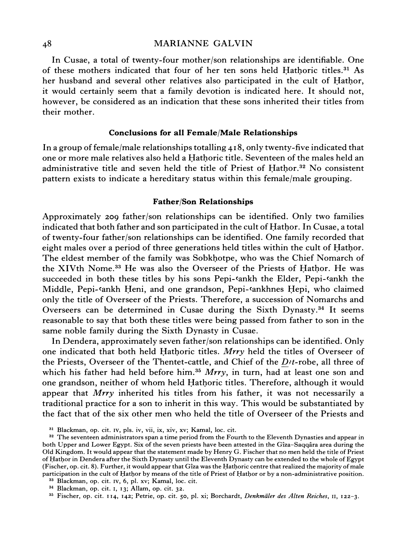#### 48 MARIANNE GALVIN

In Cusae, a total of twenty-four mother/son relationships are identifiable. One of these mothers indicated that four of her ten sons held Hathoric titles.<sup>31</sup> As her husband and several other relatives also participated in the cult of Hathor, it would certainly seem that a family devotion is indicated here. It should not, however, be considered as an indication that these sons inherited their titles from their mother.

#### **Conclusions for all Female/Male Relationships**

In a group of female/male relationships totalling  $418$ , only twenty-five indicated that one or more male relatives also held a Hathoric title. Seventeen of the males held an administrative title and seven held the title of Priest of Hathor. ${}^{32}$  No consistent pattern exists to indicate a hereditary status within this femalelmale grouping.

#### **Father/Son Relationships**

Approximately 209 father/son relationships can be identified. Only two families indicated that both father and son participated in the cult of Hathor. In Cusae, a total of twenty-four father/son relationships can be identified. One family recorded that eight males over a period of three generations held titles within the cult of Hathor. The eldest member of the family was Sobkhotpe, who was the Chief Nomarch of the XIVth Nome.<sup>33</sup> He was also the Overseer of the Priests of Hathor. He was succeeded in both these titles by his sons Pepi-sankh the Elder, Pepi-sankh the Middle, Pepi-cankh Heni, and one grandson, Pepi-cankhnes Hepi, who claimed only the title of Overseer of the Priests. Therefore, a succession of Nomarchs and Overseers can be determined in Cusae during the Sixth Dynasty. $34$  It seems reasonable to say that both these titles were being passed from father to son in the same noble family during the Sixth Dynasty in Cusae.

In Dendera, approximately seven father/son relationships can be identified. Only one indicated that both held Hathoric titles. **Mrry** held the titles of Overseer of the Priests, Overseer of the Thentet-cattle, and Chief of the  $D/t$ -robe, all three of which his father had held before him.<sup>35</sup> Mrry, in turn, had at least one son and one grandson, neither of whom held Hathoric titles. Therefore, although it would appear that **Mrry** inherited his titles from his father, it was not necessarily a traditional practice for a son to inherit in this way. This would be substantiated by the fact that of the six other men who held the title of Overseer of the Priests and

<sup>&</sup>lt;sup>31</sup> Blackman, op. cit. *IV*, pls. iv, vii, ix, xiv, xv; Kamal, loc. cit.

**<sup>32</sup>**The seventeen administrators span a time period from the Fourth to the Eleventh Dynasties and appear in both Upper and Lower Egypt. Six of the seven priests have been attested in the Giza-Saqqira area during the Old Kingdom. It would appear that the statement made by Henry G. Fischer that no men held the title of Priest of Hathor in Dendera after the Sixth Dynasty until the Eleventh Dynasty can be extended to the whole of Egypt (Fischer, op. cit. 8). Further, it would appear that Giza was the Hathoric centre that realized the majority of male participation in the cult of Hathor by means of the title of Priest of Hathor or by a non-administrative position.

**<sup>33</sup>**Blackman, op. cit. **IV,** 6, pl. xv; Kamal, loc. cit.

<sup>&</sup>lt;sup>34</sup> Blackman, op. cit. 1, 13; Allam, op. cit. 32.

**Y"** Fischer, op. cit. I 14, 142; Petrie, op. cit. **50,** pl. xi; Borchardt, *Denkmaler des Alten Reiches,* 11, 122-3.